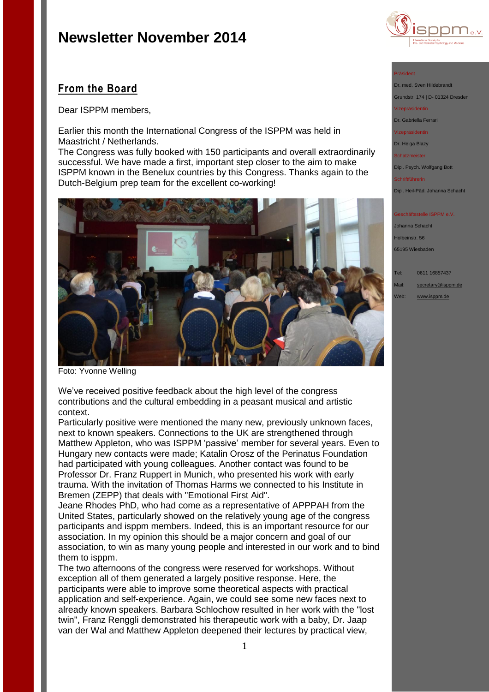

## **From the Board**

Dear ISPPM members,

Earlier this month the International Congress of the ISPPM was held in Maastricht / Netherlands.

The Congress was fully booked with 150 participants and overall extraordinarily successful. We have made a first, important step closer to the aim to make ISPPM known in the Benelux countries by this Congress. Thanks again to the Dutch-Belgium prep team for the excellent co-working!



Foto: Yvonne Welling

We've received positive feedback about the high level of the congress contributions and the cultural embedding in a peasant musical and artistic context.

Particularly positive were mentioned the many new, previously unknown faces, next to known speakers. Connections to the UK are strengthened through Matthew Appleton, who was ISPPM 'passive' member for several years. Even to Hungary new contacts were made; Katalin Orosz of the Perinatus Foundation had participated with young colleagues. Another contact was found to be Professor Dr. Franz Ruppert in Munich, who presented his work with early trauma. With the invitation of Thomas Harms we connected to his Institute in Bremen (ZEPP) that deals with "Emotional First Aid".

Jeane Rhodes PhD, who had come as a representative of APPPAH from the United States, particularly showed on the relatively young age of the congress participants and isppm members. Indeed, this is an important resource for our association. In my opinion this should be a major concern and goal of our association, to win as many young people and interested in our work and to bind them to isppm.

The two afternoons of the congress were reserved for workshops. Without exception all of them generated a largely positive response. Here, the participants were able to improve some theoretical aspects with practical application and self-experience. Again, we could see some new faces next to already known speakers. Barbara Schlochow resulted in her work with the "lost twin", Franz Renggli demonstrated his therapeutic work with a baby, Dr. Jaap van der Wal and Matthew Appleton deepened their lectures by practical view,

#### Präsident

Dr. med. Sven Hildebrand

Grundstr. 174 | D- 01324 Dresden Vizepräsidentin

Dr. Gabriella Ferrari

Vizepräsidentin

Dr. Helga Blazy

Schatzmeister

Schriftführerin

Dipl. Psych. Wolfgang Bott

Dipl. Heil-Päd. Johanna Schacht

### schäftsstelle ISPPM e.V.

Johanna Schacht Holbeinstr. 56 65195 Wiesbaden

Tel: 0611 16857437 Mail: [secretary@isppm.de](mailto:secretary@isppm.de)

Web: [www.isppm.de](http://www.isppm.de/)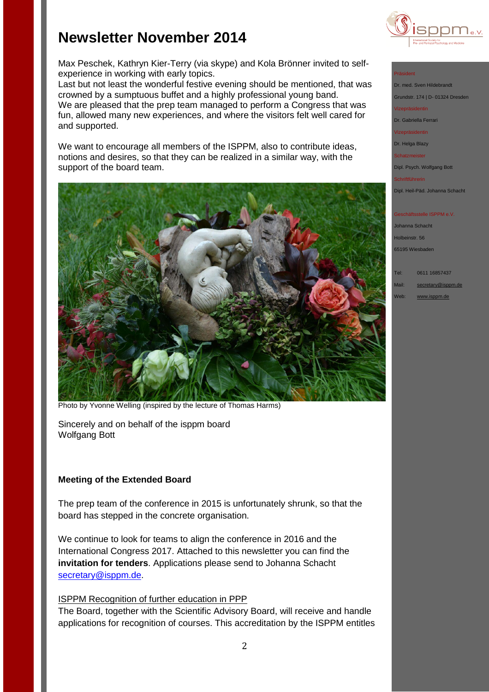

Max Peschek, Kathryn Kier-Terry (via skype) and Kola Brönner invited to selfexperience in working with early topics.

Last but not least the wonderful festive evening should be mentioned, that was crowned by a sumptuous buffet and a highly professional young band. We are pleased that the prep team managed to perform a Congress that was fun, allowed many new experiences, and where the visitors felt well cared for and supported.

We want to encourage all members of the ISPPM, also to contribute ideas, notions and desires, so that they can be realized in a similar way, with the support of the board team.



Photo by Yvonne Welling (inspired by the lecture of Thomas Harms)

Sincerely and on behalf of the isppm board Wolfgang Bott

## **Meeting of the Extended Board**

The prep team of the conference in 2015 is unfortunately shrunk, so that the board has stepped in the concrete organisation.

We continue to look for teams to align the conference in 2016 and the International Congress 2017. Attached to this newsletter you can find the **invitation for tenders**. Applications please send to Johanna Schacht [secretary@isppm.de.](mailto:secretary@isppm.de)

### ISPPM Recognition of further education in PPP

The Board, together with the Scientific Advisory Board, will receive and handle applications for recognition of courses. This accreditation by the ISPPM entitles

### Präsident

Dr. med. Sven Hildebrandt Grundstr. 174 | D- 01324 Dresden

Vizepräsidentin

Dr. Gabriella Ferrari

Vizepräsidentin

Dr. Helga Blazy Schatzmeister

Dipl. Psych. Wolfgang Bott

Schriftführerin

Dipl. Heil-Päd. Johanna Schacht

### schäftsstelle ISPPM e.V.

Johanna Schacht Holbeinstr. 56 65195 Wiesbaden

Tel: 0611 16857437

Mail: [secretary@isppm.de](mailto:secretary@isppm.de)

Web: [www.isppm.de](http://www.isppm.de/)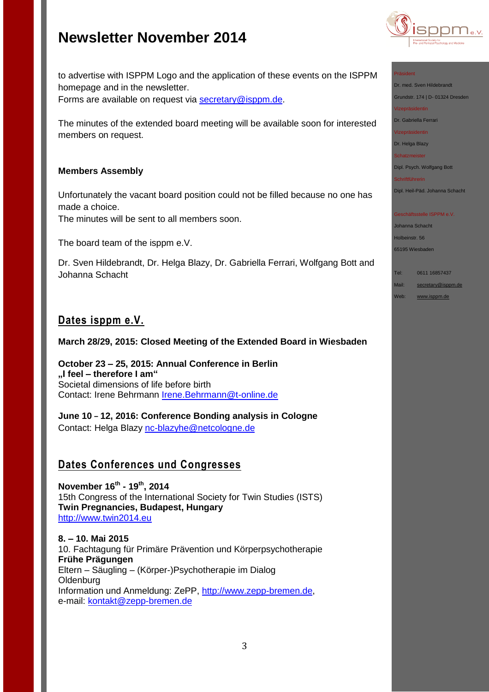

#### Präsident

Dr. med. Sven Hildebrandt Grundstr. 174 | D- 01324 Dresden

Vizepräsidentin

Dr. Gabriella Ferrari

Vizepräsidentin

Dr. Helga Blazy Schatzmeister

Dipl. Psych. Wolfgang Bott

Schriftführerin

Dipl. Heil-Päd. Johanna Schacht

#### Geschäftsstelle ISPPM e.V.

Johanna Schacht Holbeinstr. 56 65195 Wiesbaden

Tel: 0611 16857437

Mail: [secretary@isppm.de](mailto:secretary@isppm.de)

Web: [www.isppm.de](http://www.isppm.de/)

to advertise with ISPPM Logo and the application of these events on the ISPPM homepage and in the newsletter. Forms are available on request via [secretary@isppm.de.](secretary@isppm.de)

The minutes of the extended board meeting will be available soon for interested members on request.

### **Members Assembly**

Unfortunately the vacant board position could not be filled because no one has made a choice.

The minutes will be sent to all members soon.

The board team of the isppm e.V.

Dr. Sven Hildebrandt, Dr. Helga Blazy, Dr. Gabriella Ferrari, Wolfgang Bott and Johanna Schacht

## **Dates isppm e.V.**

## **March 28/29, 2015: Closed Meeting of the Extended Board in Wiesbaden**

**October 23 – 25, 2015: Annual Conference in Berlin "I feel – therefore I am"** Societal dimensions of life before birth Contact: Irene Behrmann [Irene.Behrmann@t-online.de](Irene.Behrmann@t-online.de%20)

**June 10 – 12, 2016: Conference Bonding analysis in Cologne** Contact: Helga Blazy<nc-blazyhe@netcologne.de>

## **Dates Conferences und Congresses**

**November 16th - 19th , 2014** 15th Congress of the International Society for Twin Studies (ISTS) **Twin Pregnancies, Budapest, Hungary** [http://www.twin2014.eu](http://www.twin2014.eu/)

**8. – 10. Mai 2015** 10. Fachtagung für Primäre Prävention und Körperpsychotherapie **Frühe Prägungen** Eltern – Säugling – (Körper-)Psychotherapie im Dialog **Oldenburg** Information und Anmeldung: ZePP, [http://www.zepp-bremen.de,](http://www.zepp-bremen.de/) e-mail: [kontakt@zepp-bremen.de](mailto:kontakt@zepp-bremen.de)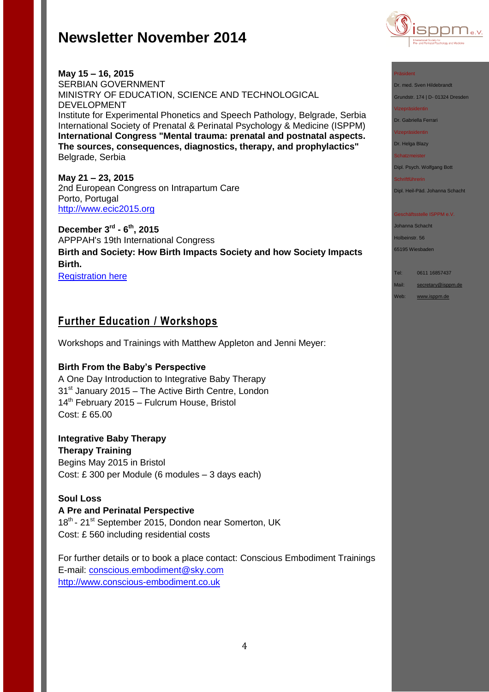

### Präsident

Dr. med. Sven Hildebrandt Grundstr. 174 | D- 01324 Dresden

Vizepräsidentin

Dr. Gabriella Ferrari

Vizepräsidentin

Dr. Helga Blazy

Schatzmeister

Dipl. Psych. Wolfgang Bott Schriftführerin

Dipl. Heil-Päd. Johanna Schacht

#### Geschäftsstelle ISPPM e.V.

Johanna Schacht Holbeinstr. 56

65195 Wiesbaden

Tel: 0611 16857437

Mail: [secretary@isppm.de](mailto:secretary@isppm.de)

Web: [www.isppm.de](http://www.isppm.de/)

**May 15 – 16, 2015** SERBIAN GOVERNMENT MINISTRY OF EDUCATION, SCIENCE AND TECHNOLOGICAL DEVELOPMENT Institute for Experimental Phonetics and Speech Pathology, Belgrade, Serbia International Society of Prenatal & Perinatal Psychology & Medicine (ISPPM) **International Congress "Mental trauma: prenatal and postnatal aspects. The sources, consequences, diagnostics, therapy, and prophylactics"**  Belgrade, Serbia

**May 21 – 23, 2015** 2nd European Congress on Intrapartum Care Porto, Portugal [http://www.ecic2015.org](http://www.ecic2015.org/)

**December 3rd - 6 th, 2015** APPPAH's 19th International Congress **Birth and Society: How Birth Impacts Society and how Society Impacts Birth.** [Registration here](http://r20.rs6.net/tn.jsp?f=001ow1wkvozei_88VPX53sV2VFa_ZuxEIVEKa01uLsN1mbdQzyyQdhs_FXedW1fhcbR0cAnBWKAa58XC3PwfiugTa1u-MPUS6Vonsz2fJNfQoB35pjIsF_7lD1CN_qw8TKu7v5JAd5plpwt_sJH1Yde9EazKKjwqyMJ21kbRBK73s3eVNH4L1EyhKr9FAjjkUSl1fgyAKzNeZsbRxoBWUe7j8en6Y0oQ_VI&c=LWshyrIfwgT0SZxQf9pomHGUyyn_Wvxtp2RWpyiRrhc-6I_2N51Iww==&ch=fzqAY8gzqrfAbvVlvh6O_uf6Y0uhLqpZVtR_fAmpQsLRiSXUV-TJkQ==)

## **Further Education / Workshops**

Workshops and Trainings with Matthew Appleton and Jenni Meyer:

### **Birth From the Baby's Perspective**

A One Day Introduction to Integrative Baby Therapy  $31<sup>st</sup>$  January 2015 – The Active Birth Centre, London  $14<sup>th</sup>$  February 2015 – Fulcrum House, Bristol Cost: £ 65.00

## **Integrative Baby Therapy**

**Therapy Training** Begins May 2015 in Bristol Cost: £ 300 per Module (6 modules – 3 days each)

### **Soul Loss**

## **A Pre and Perinatal Perspective**

18<sup>th</sup> - 21<sup>st</sup> September 2015, Dondon near Somerton, UK Cost: £ 560 including residential costs

For further details or to book a place contact: Conscious Embodiment Trainings E-mail:<conscious.embodiment@sky.com> [http://www.conscious-embodiment.co.uk](http://www.conscious-embodiment.co.uk/)